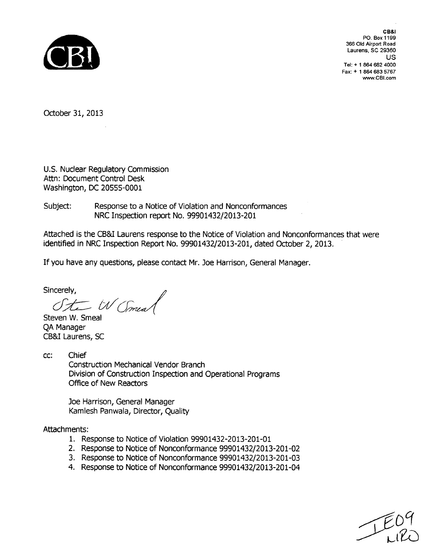

CB&I PO. Box **1199 366 Old** Airport Road Laurens, **SC 29360** us Tel: + **1** 864 **682** 4000 Fax: + **1** 864 **683 5767** www.CBI.com

October 31, 2013

U.S. Nuclear Regulatory Commission Attn: Document Control Desk Washington, DC 20555-0001

Subject: Response to a Notice of Violation and Nonconformances NRC Inspection report No. 99901432/2013-201

Attached is the CB&I Laurens response to the Notice of Violation and Nonconformances that were identified in NRC Inspection Report No. 99901432/2013-201, dated October 2, 2013.

If you have any questions, please contact Mr. Joe Harrison, General Manager.

Sincerely,<br>Ste W Smeal

Steven W. Smeal QA Manager CB&I Laurens, SC

cc: Chief Construction Mechanical Vendor Branch Division of Construction Inspection and Operational Programs Office of New Reactors

> Joe Harrison, General Manager Kamlesh Panwala, Director, Quality

Attachments:

- 1. Response to Notice of Violation 99901432-2013-201-01
- 2. Response to Notice of Nonconformance 99901432/2013-201-02
- 3. Response to Notice of Nonconformance 99901432/2013-201-03
- 4. Response to Notice of Nonconformance 99901432/2013-201-04

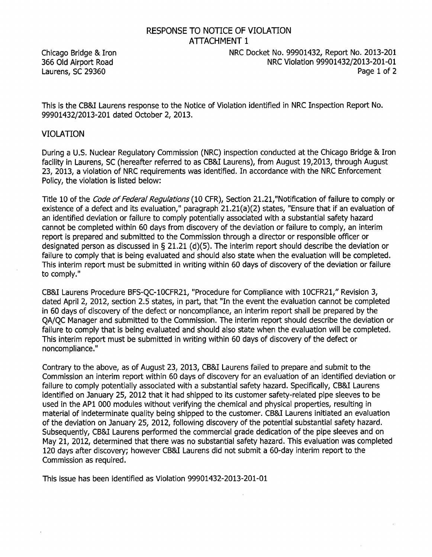## RESPONSE TO NOTICE OF VIOLATION ATTACHMENT 1

Chicago Bridge & Iron NRC Docket No. 99901432, Report No. 2013-201 366 Old Airport Road NRC Violation 99901432/2013-201-01 Laurens, SC 29360 Page 1 of 2

99901432/2013-201 dated October 2, 2013.

#### VIOLATION

During a U.S. Nuclear Regulatory Commission (NRC) inspection conducted at the Chicago Bridge & Iron facility in Laurens, SC (hereafter referred to as CB&I Laurens), from August 19,2013, through August 23, 2013, a violation of NRC requirements was identified. In accordance with the NRC Enforcement Policy, the violation is listed below:

Title 10 of the *Code of Federal Regulations* (10 CFR), Section 21.21,"Notification of failure to comply or existence of a defect and its evaluation," paragraph 21.21(a)(2) states, "Ensure that if an evaluation of an identified deviation or failure to comply potentially associated with a substantial safety hazard cannot be completed within 60 days from discovery of the deviation or failure to comply, an interim report is prepared and submitted to the Commission through a director or responsible officer or designated person as discussed in § 21.21 (d)(5). The interim report should describe the deviation or failure to comply that is being evaluated and should also state when the evaluation will be completed. This interim report must be submitted in writing within 60 days of discovery of the deviation or failure to comply."

CB&I Laurens Procedure BFS-QC-10CFR21, "Procedure for Compliance with 10CFR21," Revision 3, dated April 2, 2012, section 2.5 states, in part, that "In the event the evaluation cannot be completed in 60 days of discovery of the defect or noncompliance, an interim report shall be prepared by the QA/QC Manager and submitted to the Commission. The interim report should describe the deviation or failure to comply that is being evaluated and should also state when the evaluation will be completed. This interim report must be submitted in writing within 60 days of discovery of the defect or noncompliance."

Contrary to the above, as of August **23,** 2013, CB&I Laurens failed to prepare and submit to the Commission an interim report within 60 days of discovery for an evaluation of an identified deviation or failure to comply potentially associated with a substantial safety hazard. Specifically, CB&I Laurens identified on January 25, 2012 that it had shipped to its customer safety-related pipe sleeves to be used in the AP1 000 modules without verifying the chemical and physical properties, resulting in material of indeterminate quality being shipped to the customer. CB&I Laurens initiated an evaluation of the deviation on January 25, 2012, following discovery of the potential substantial safety hazard. Subsequently, CB&I Laurens performed the commercial grade dedication of the pipe sleeves and on May 21, 2012, determined that there was no substantial safety hazard. This evaluation was completed 120 days after discovery; however CB&I Laurens did not submit a 60-day interim report to the Commission as required.

This issue has been identified as Violation 99901432-2013-201-01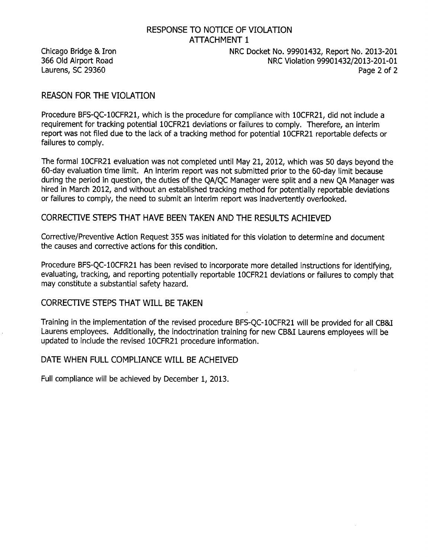# RESPONSE TO NOTICE OF VIOLATION ATTACHMENT 1

### REASON FOR THE VIOLATION

Procedure BFS-QC-10CFR21, which is the procedure for compliance with 10CFR21, did not include a requirement for tracking potential 10CFR21 deviations or failures to comply. Therefore, an interim report was not filed due to the lack of a tracking method for potential 10CFR21 reportable defects or failures to comply.

The formal 10CFR21 evaluation was not completed until May 21, 2012, which was 50 days beyond the 60-day evaluation time limit. An interim report was not submitted prior to the 60-day limit because during the period in question, the duties of the QA/QC Manager were split and a new QA Manager was hired in March 2012, and without an established tracking method for potentially reportable deviations or failures to comply, the need to submit an interim report was inadvertently overlooked.

### CORRECTIVE STEPS THAT HAVE BEEN TAKEN AND THE RESULTS ACHIEVED

Corrective/Preventive Action Request 355 was initiated for this violation to determine and document the causes and corrective actions for this condition.

Procedure BFS-QC-1OCFR21 has been revised to incorporate more detailed instructions for identifying, evaluating, tracking, and reporting potentially reportable 10CFR21 deviations or failures to comply that may constitute a substantial safety hazard.

### CORRECTIVE STEPS THAT WILL BE TAKEN

Training in the implementation of the revised procedure BFS-QC-1OCFR21 will be provided for all CB&I Laurens employees. Additionally, the indoctrination training for new CB&I Laurens employees will be updated to include the revised 10CFR21 procedure information.

### DATE WHEN FULL COMPLIANCE WILL BE ACHEIVED

Full compliance will be achieved by December 1, 2013.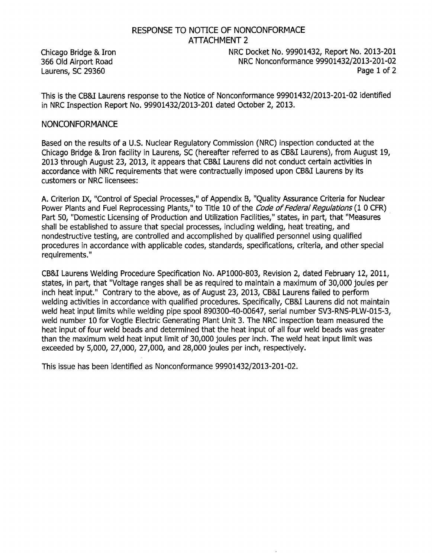Chicago Bridge & Iron NRC Docket No. 99901432, Report No. 2013-201 366 Old Airport Road NRC Nonconformance 99901432/2013-201-02 Laurens, SC 29360 Page 1 of 2

This is the CB&I Laurens response to the Notice of Nonconformance 99901432/2013-201-02 identified in NRC Inspection Report No. 99901432/2013-201 dated October 2, 2013.

#### NONCONFORMANCE

Based on the results of a U.S. Nuclear Regulatory Commission (NRC) inspection conducted at the Chicago Bridge & Iron facility in Laurens, SC (hereafter referred to as CB&I Laurens), from August 19, 2013 through August 23, 2013, it appears that CB&I Laurens did not conduct certain activities in accordance with NRC requirements that were contractually imposed upon CB&I Laurens by its customers or NRC licensees:

A. Criterion IX, "Control of Special Processes," of Appendix B, "Quality Assurance Criteria for Nuclear Power Plants and Fuel Reprocessing Plants," to Title 10 of the *Code of Federal Regulations* (1 0 CFR) Part 50, "Domestic Licensing of Production and Utilization Facilities," states, in part, that "Measures shall be established to assure that special processes, including welding, heat treating, and nondestructive testing, are controlled and accomplished by qualified personnel using qualified procedures in accordance with applicable codes, standards, specifications, criteria, and other special requirements."

CB&I Laurens Welding Procedure Specification No. AP1000-803, Revision 2, dated February 12, 2011, states, in part, that "Voltage ranges shall be as required to maintain a maximum of 30,000 joules per inch heat input." Contrary to the above, as of August 23, 2013, CB&I Laurens failed to perform welding activities in accordance with qualified procedures. Specifically, CB&I Laurens did not maintain weld heat input limits while welding pipe spool 890300-40-00647, serial number SV3-RNS-PLW-015-3, weld number 10 for Vogtle Electric Generating Plant Unit 3. The NRC inspection team measured the heat input of four weld beads and determined that the heat input of all four weld beads was greater than the maximum weld heat input limit of 30,000 joules per inch. The weld heat input limit was exceeded by 5,000, 27,000, 27,000, and 28,000 joules per inch, respectively.

This issue has been identified as Nonconformance 99901432/2013-201-02.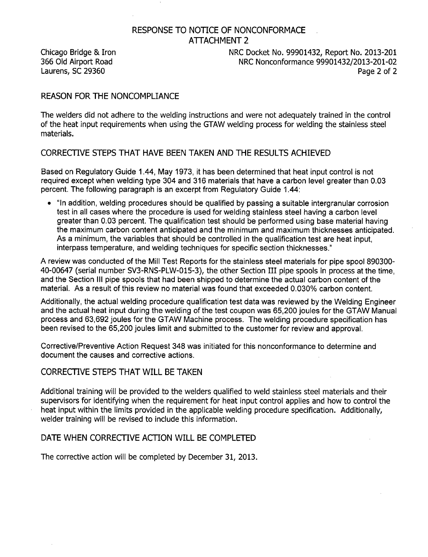Chicago Bridge & Iron NRC Docket No. 99901432, Report No. 2013-201<br>1920-366 Old Airport Road NRC Nonconformance 99901432/2013-201 NRC Nonconformance 99901432/2013-201-02 Laurens, SC 29360 Page 2 of 2

### REASON FOR THE NONCOMPLIANCE

The welders did not adhere to the welding instructions and were not adequately trained in the control of the heat input requirements when using the GTAW welding process for welding the stainless steel materials.

### CORRECTIVE STEPS THAT HAVE BEEN TAKEN AND THE RESULTS ACHIEVED

Based on Regulatory Guide 1.44, May 1973, it has been determined that heat input control is not required except when welding type 304 and 316 materials that have a carbon level greater than 0.03 percent. The following paragraph is an excerpt from Regulatory Guide 1.44:

"In addition, welding procedures should be qualified by passing a suitable intergranular corrosion test in all cases where the procedure is used for welding stainless steel having a carbon level greater than 0.03 percent. The qualification test should be performed using base material having the maximum carbon content anticipated and the minimum and maximum thicknesses anticipated. As a minimum, the variables that should be controlled in the qualification test are heat input, interpass temperature, and welding techniques for specific section thicknesses."

A review was conducted of the Mill Test Reports for the stainless steel materials for pipe spool 890300- 40-00647 (serial number SV3-RNS-PLW-015-3), the other Section III pipe spools in process at the time, and the Section III pipe spools that had been shipped to determine the actual carbon content of the material. As a result of this review no material was found that exceeded 0.030% carbon content.

Additionally, the actual welding procedure qualification test data was reviewed by the Welding Engineer and the actual heat input during the welding of the test coupon was 65,200 joules for the GTAW Manual process and 63,692 joules for the GTAW Machine process. The welding procedure specification has been revised to the 65,200 joules limit and submitted to the customer for review and approval.

Corrective/Preventive Action Request 348 was initiated for this nonconformance to determine and document the causes and corrective actions.

### CORRECTIVE STEPS THAT WILL BE TAKEN

Additional training will be provided to the welders qualified to weld stainless steel materials and their supervisors for identifying when the requirement for heat input control applies and how to control the heat input within the limits provided in the applicable welding procedure specification. Additionally, welder training will be revised to include this information.

### DATE WHEN CORRECTIVE ACTION WILL BE COMPLETED

The corrective action will be completed by December 31, 2013.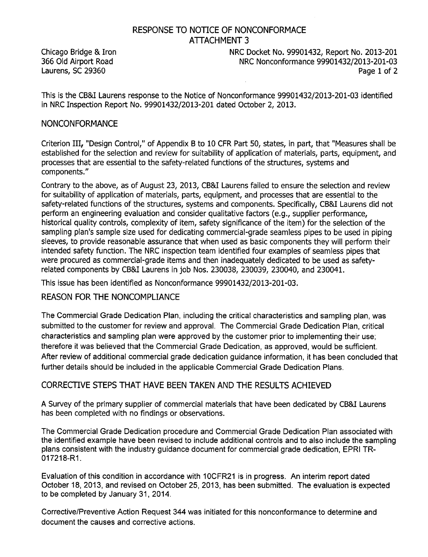**Laurens, SC 29360** 

Chicago Bridge & Iron **NRC Docket No. 99901432, Report No. 2013-201**<br>1936 Old Airport Road NRC Nonconformance 99901432/2013-201-03 **366 Old** Airport Road NRC Nonconformance **99901432/2013-201-03**

This is the CB&I Laurens response to the Notice of Nonconformance **99901432/2013-201-03** identified in NRC Inspection Report No. **99901432/2013-201** dated October 2, **2013.**

### **NONCONFORMANCE**

Criterion III,, "Design Control," of Appendix B to **10** CFR Part **50,** states, in part, that "Measures shall be established for the selection and review for suitability of application of materials, parts, equipment, and processes that are essential to the safety-related functions of the structures, systems and components."

Contrary to the above, as of August **23, 2013,** CB&I Laurens failed to ensure the selection and review for suitability of application of materials, parts, equipment, and processes that are essential to the safety-related functions of the structures, systems and components. Specifically, CB&I Laurens did not<br>perform an engineering evaluation and consider qualitative factors (e.g., supplier performance, historical quality controls, complexity of item, safety significance of the item) for the selection of the sampling plan's sample size used for dedicating commercial-grade seamless pipes to be used in piping sleeves, to provide reasonable assurance that when used as basic components they will perform their intended safety function. The NRC inspection team identified four examples of seamless pipes that were procured as commercial-grade items and then inadequately dedicated to be used as safetyrelated components **by** CB&I Laurens in **job** Nos. **230038, 230039,** 230040, and 230041.

This issue has been identified as Nonconformance **99901432/2013-201-03.**

### **REASON** FOR THE **NONCOMPLIANCE**

The Commercial Grade Dedication Plan, including the critical characteristics and sampling plan, was submitted to the customer for review and approval. The Commercial Grade Dedication Plan, critical characteristics and sampling plan were approved **by** the customer prior to implementing their use; therefore it was believed that the Commercial Grade Dedication, as approved, would be sufficient. After review of additional commercial grade dedication guidance information, it has been concluded that further details should be included in the applicable Commercial Grade Dedication Plans.

### CORRECTIVE **STEPS** THAT **HAVE BEEN TAKEN AND** THE **RESULTS** ACHIEVED

**A** Survey of the primary supplier of commercial materials that have been dedicated **by** CB&I Laurens has been completed with no findings or observations.

The Commercial Grade Dedication procedure and Commercial Grade Dedication Plan associated with the identified example have been revised to include additional controls and to also include the sampling plans consistent with the industry guidance document for commercial grade dedication, EPRI TR-017218-R1.

Evaluation of this condition in accordance with **1** OCFR21 is in progress. An interim report dated October **18, 2013,** and revised on October **25, 2013,** has been submitted. The evaluation is expected to be completed **by** January **31,** 2014.

Corrective/Preventive Action Request 344 was initiated for this nonconformance to determine and document the causes and corrective actions.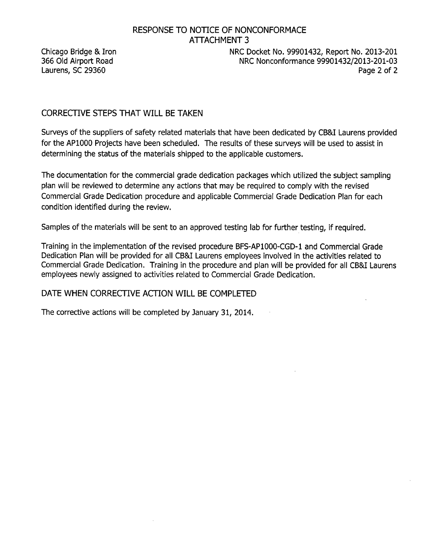Laurens, SC 29360

Chicago Bridge & Iron NRC Docket No. 99901432, Report No. 2013-201<br>1931-2013-201-03 NRC Nonconformance 99901432/2013-201-03 136-NRC Nonconformance 99901432/2013-201-03<br>2 Page 2 of 2

## CORRECTIVE STEPS THAT WILL BE TAKEN

Surveys of the suppliers of safety related materials that have been dedicated by CB&I Laurens provided for the AP1000 Projects have been scheduled. The results of these surveys will be used to assist in determining the status of the materials shipped to the applicable customers.

The documentation for the commercial grade dedication packages which utilized the subject sampling plan will be reviewed to determine any actions that may be required to comply with the revised Commercial Grade Dedication procedure and applicable Commercial Grade Dedication Plan for each condition identified during the review.

Samples of the materials will be sent to an approved testing lab for further testing, if required.

Training in the implementation of the revised procedure BFS-AP1000-CGD-1 and Commercial Grade Dedication Plan will be provided for all CB&I Laurens employees involved in the activities related to Commercial Grade Dedication. Training in the procedure and plan will be provided for all CB&I Laurens employees newly assigned to activities related to Commercial Grade Dedication.

### DATE WHEN CORRECTIVE ACTION WILL BE COMPLETED.

The corrective actions will be completed by January 31, 2014.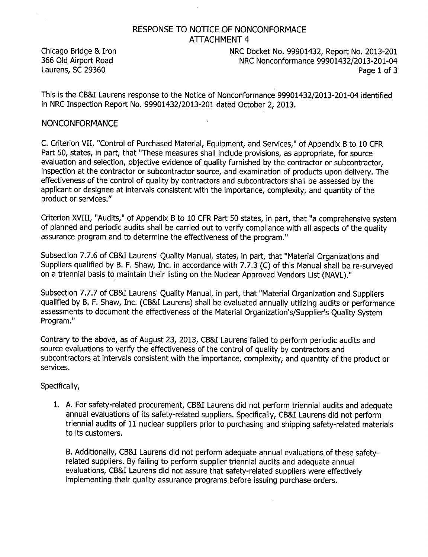Chicago Bridge & Iron NRC Docket No. 99901432, Report No. 2013-201<br>1941-192/2013 NRC Nonconformance 99901432/2013 NRC Nonconformance 99901432/2013-201-04 Laurens, SC 29360 Page 1 of 3

This is the CBAI Laurence of Notice of Nonconformance 99901432/2014201432/2013-2014 in NRC Inspection Report No. 99901432/2013-201 dated October 2, 2013.

#### NONCONFORMANCE

C. Criterion VII, "Control of Purchased Material, Equipment, and Services," of Appendix B to 10 CFR Part 50, states, in part, that "These measures shall include provisions, as appropriate, for source evaluation and selection, objective evidence of quality furnished by the contractor or subcontractor, inspection at the contractor or subcontractor source, and examination of products upon delivery. The effectiveness of the control of quality by contractors and subcontractors shall be assessed by the applicant or designee at intervals consistent with the importance, complexity, and quantity of the product or services."

Criterion XVIII, "Audits," of Appendix B to 10 CFR Part 50 states, in part, that "a comprehensive system of planned and periodic audits shall be carried out to verify compliance with all aspects of the quality assurance program and to determine the effectiveness of the program."

Subsection 7.7.6 of CB&I Laurens' Quality Manual, states, in part, that "Material Organizations and Suppliers qualified by B. F. Shaw, Inc. in accordance with 7.7.3 (C) of this Manual shall be re-surveyed on a triennial basis to maintain their listing on the Nuclear Approved Vendors List (NAVL)."

Subsection 7.7.7 of CB&I Laurens' Quality Manual, in part, that "Material Organization and Suppliers qualified by B. F. Shaw, Inc. (CB&I Laurens) shall be evaluated annually utilizing audits or performance assessments to document the effectiveness of the Material Organization's/Supplier's Quality System Program."

Contrary to the above, as of August 23, 2013, CB&I Laurens failed to perform periodic audits and source evaluations to verify the effectiveness of the control of quality by contractors and subcontractors at intervals consistent with the importance, complexity, and quantity of the product or services.

#### Specifically,

1. A. For safety-related procurement, CB&I Laurens did not perform triennial audits and adequate annual evaluations of its safety-related suppliers. Specifically, CB&I Laurens did not perform triennial audits of 11 nuclear suppliers prior to purchasing and shipping safety-related materials to its customers.

B. Additionally, CB&I Laurens did not perform adequate annual evaluations of these safetyrelated suppliers. By failing to perform supplier triennial audits and adequate annual evaluations, CB&I Laurens did not assure that safety-related suppliers were effectively implementing their quality assurance programs before issuing purchase orders.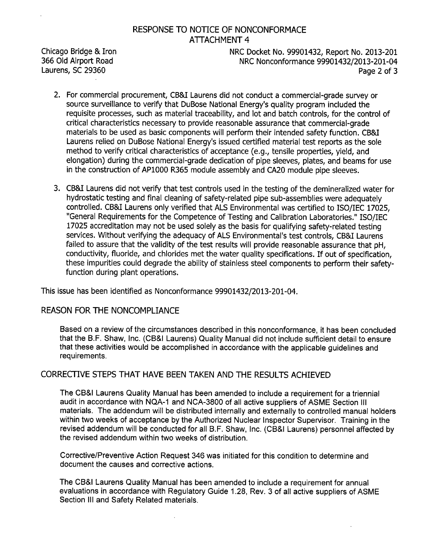Chicago Bridge & Iron NRC Docket No. 99901432, Report No. 2013-201<br>1941-366 Old Airport Road NRC Nonconformance 99901432/2013-201 NRC Nonconformance 99901432/2013-201-04 Laurens, SC 29360 Page 2 of 3

- 2. For commercial procurement, CB&I Laurens did not conduct a commercial-grade survey or source surveillance to verify that DuBose National Energy's quality program included the requisite processes, such as material traceability, and lot and batch controls, for the control of critical characteristics necessary to provide reasonable assurance that commercial-grade materials to be used as basic components will perform their intended safety function. CB&I Laurens relied on DuBose National Energy's issued certified material test reports as the sole method to verify critical characteristics of acceptance (e.g., tensile properties, yield, and elongation) during the commercial-grade dedication of pipe sleeves, plates, and beams for use in the construction of AP1000 R365 module assembly and CA20 module pipe sleeves.
- 3. CB&I Laurens did not verify that test controls used in the testing of the demineralized water for hydrostatic testing and final cleaning of safety-related pipe sub-assemblies were adequately controlled. CB&I Laurens only verified that ALS Environmental was certified to ISO/IEC 17025, "General Requirements for the Competence of Testing and Calibration Laboratories." ISO/IEC 17025 accreditation may not be used solely as the basis for qualifying safety-related testing services. Without verifying the adequacy of ALS Environmental's test controls, CB&I Laurens failed to assure that the validity of the test results will provide reasonable assurance that pH, conductivity, fluoride, and chlorides met the water quality specifications. If out of specification, these impurities could degrade the ability of stainless steel components to perform their safetyfunction during plant operations.

This issue has been identified as Nonconformance 99901432/2013-201-04.

### REASON FOR THE NONCOMPLIANCE

Based on a review of the circumstances described in this nonconformance, it has been concluded that the B.F. Shaw, Inc. (CB&I Laurens) Quality Manual did not include sufficient detail to ensure that these activities would be accomplished in accordance with the applicable guidelines and requirements.

### CORRECTIVE STEPS THAT HAVE BEEN TAKEN AND THE RESULTS ACHIEVED

The CB&I Laurens Quality Manual has been amended to include a requirement for a triennial audit in accordance with NQA-1 and NCA-3800 of all active suppliers of ASME Section III materials. The addendum will be distributed internally and externally to controlled manual holders within two weeks of acceptance by the Authorized Nuclear Inspector Supervisor. Training in the revised addendum will be conducted for all B.F. Shaw, Inc. (CB&I Laurens) personnel affected by the revised addendum within two weeks of distribution.

Corrective/Preventive Action Request 346 was initiated for this condition to determine and document the causes and corrective actions.

The CB&I Laurens Quality Manual has been amended to include a requirement for annual evaluations in accordance with Regulatory Guide 1.28, Rev. 3 of all active suppliers of ASME Section III and Safety Related materials.